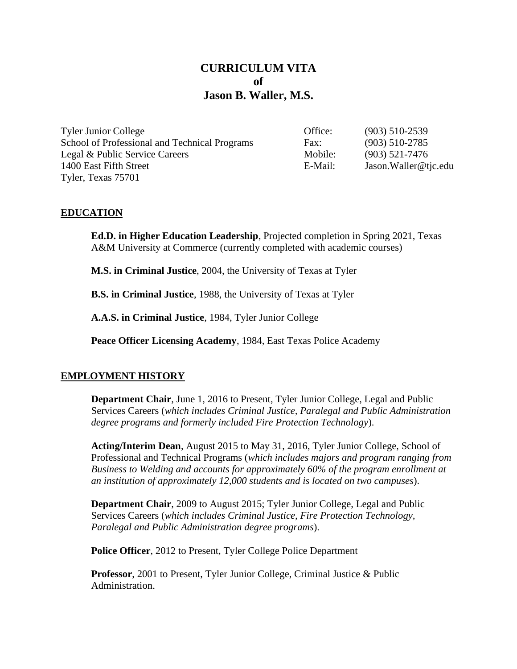# **CURRICULUM VITA of Jason B. Waller, M.S.**

| <b>Tyler Junior College</b>                   | Office: | $(903)$ 510-2539     |
|-----------------------------------------------|---------|----------------------|
| School of Professional and Technical Programs | Fax:    | $(903)$ 510-2785     |
| Legal & Public Service Careers                | Mobile: | $(903)$ 521-7476     |
| 1400 East Fifth Street                        | E-Mail: | Jason.Waller@tjc.edu |
| Tyler, Texas 75701                            |         |                      |

#### **EDUCATION**

**Ed.D. in Higher Education Leadership**, Projected completion in Spring 2021, Texas A&M University at Commerce (currently completed with academic courses)

**M.S. in Criminal Justice**, 2004, the University of Texas at Tyler

**B.S. in Criminal Justice**, 1988, the University of Texas at Tyler

**A.A.S. in Criminal Justice**, 1984, Tyler Junior College

**Peace Officer Licensing Academy**, 1984, East Texas Police Academy

#### **EMPLOYMENT HISTORY**

**Department Chair**, June 1, 2016 to Present, Tyler Junior College, Legal and Public Services Careers (*which includes Criminal Justice, Paralegal and Public Administration degree programs and formerly included Fire Protection Technology*).

**Acting/Interim Dean**, August 2015 to May 31, 2016, Tyler Junior College, School of Professional and Technical Programs (*which includes majors and program ranging from Business to Welding and accounts for approximately 60% of the program enrollment at an institution of approximately 12,000 students and is located on two campuses*).

**Department Chair**, 2009 to August 2015; Tyler Junior College, Legal and Public Services Careers (*which includes Criminal Justice, Fire Protection Technology, Paralegal and Public Administration degree programs*).

**Police Officer**, 2012 to Present, Tyler College Police Department

**Professor**, 2001 to Present, Tyler Junior College, Criminal Justice & Public Administration.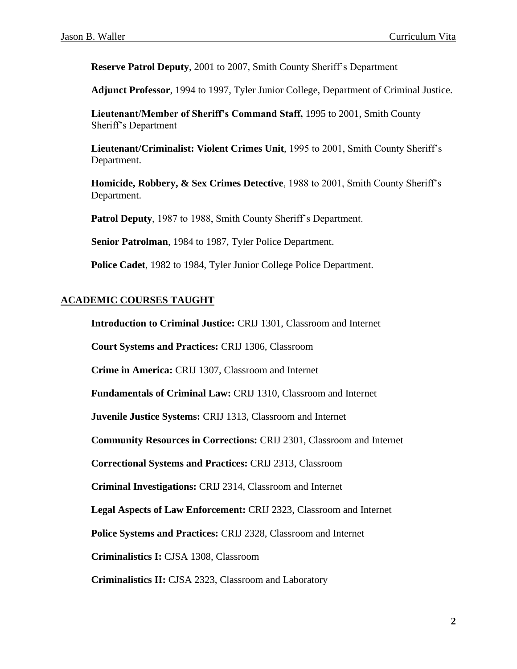**Reserve Patrol Deputy**, 2001 to 2007, Smith County Sheriff's Department

**Adjunct Professor**, 1994 to 1997, Tyler Junior College, Department of Criminal Justice.

**Lieutenant/Member of Sheriff's Command Staff,** 1995 to 2001, Smith County Sheriff's Department

**Lieutenant/Criminalist: Violent Crimes Unit**, 1995 to 2001, Smith County Sheriff's Department.

**Homicide, Robbery, & Sex Crimes Detective**, 1988 to 2001, Smith County Sheriff's Department.

**Patrol Deputy**, 1987 to 1988, Smith County Sheriff's Department.

**Senior Patrolman**, 1984 to 1987, Tyler Police Department.

**Police Cadet**, 1982 to 1984, Tyler Junior College Police Department.

## **ACADEMIC COURSES TAUGHT**

**Introduction to Criminal Justice:** CRIJ 1301, Classroom and Internet

**Court Systems and Practices:** CRIJ 1306, Classroom

**Crime in America:** CRIJ 1307, Classroom and Internet

**Fundamentals of Criminal Law:** CRIJ 1310, Classroom and Internet

**Juvenile Justice Systems:** CRIJ 1313, Classroom and Internet

**Community Resources in Corrections:** CRIJ 2301, Classroom and Internet

**Correctional Systems and Practices:** CRIJ 2313, Classroom

**Criminal Investigations:** CRIJ 2314, Classroom and Internet

**Legal Aspects of Law Enforcement:** CRIJ 2323, Classroom and Internet

**Police Systems and Practices:** CRIJ 2328, Classroom and Internet

**Criminalistics I:** CJSA 1308, Classroom

**Criminalistics II:** CJSA 2323, Classroom and Laboratory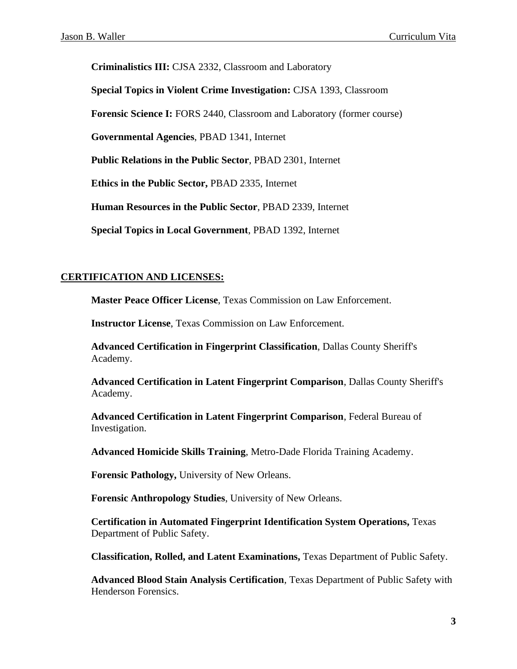**Criminalistics III:** CJSA 2332, Classroom and Laboratory

**Special Topics in Violent Crime Investigation:** CJSA 1393, Classroom

**Forensic Science I:** FORS 2440, Classroom and Laboratory (former course)

**Governmental Agencies**, PBAD 1341, Internet

**Public Relations in the Public Sector**, PBAD 2301, Internet

**Ethics in the Public Sector,** PBAD 2335, Internet

**Human Resources in the Public Sector**, PBAD 2339, Internet

**Special Topics in Local Government**, PBAD 1392, Internet

#### **CERTIFICATION AND LICENSES:**

**Master Peace Officer License**, Texas Commission on Law Enforcement.

**Instructor License**, Texas Commission on Law Enforcement.

**Advanced Certification in Fingerprint Classification**, Dallas County Sheriff's Academy.

**Advanced Certification in Latent Fingerprint Comparison**, Dallas County Sheriff's Academy.

**Advanced Certification in Latent Fingerprint Comparison**, Federal Bureau of Investigation.

**Advanced Homicide Skills Training**, Metro-Dade Florida Training Academy.

**Forensic Pathology,** University of New Orleans.

**Forensic Anthropology Studies**, University of New Orleans.

**Certification in Automated Fingerprint Identification System Operations,** Texas Department of Public Safety.

**Classification, Rolled, and Latent Examinations,** Texas Department of Public Safety.

**Advanced Blood Stain Analysis Certification**, Texas Department of Public Safety with Henderson Forensics.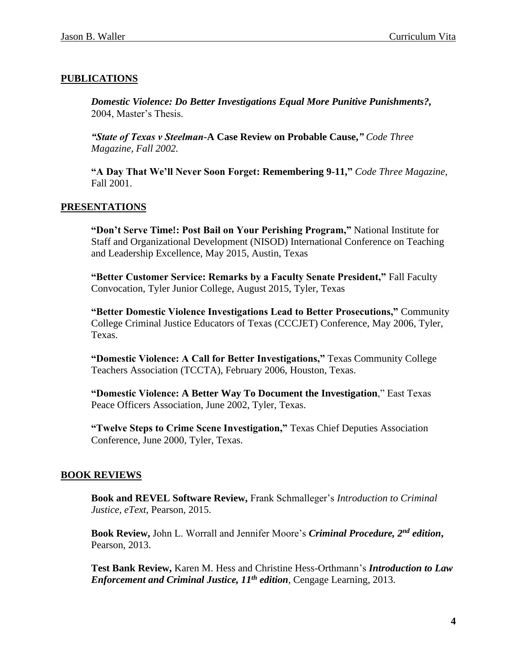### **PUBLICATIONS**

*Domestic Violence: Do Better Investigations Equal More Punitive Punishments?,*  2004, Master's Thesis.

*"State of Texas v Steelman-***A Case Review on Probable Cause,***" Code Three Magazine, Fall 2002.*

**"A Day That We'll Never Soon Forget: Remembering 9-11,"** *Code Three Magazine*, Fall 2001.

#### **PRESENTATIONS**

**"Don't Serve Time!: Post Bail on Your Perishing Program,"** National Institute for Staff and Organizational Development (NISOD) International Conference on Teaching and Leadership Excellence, May 2015, Austin, Texas

**"Better Customer Service: Remarks by a Faculty Senate President,"** Fall Faculty Convocation, Tyler Junior College, August 2015, Tyler, Texas

**"Better Domestic Violence Investigations Lead to Better Prosecutions,"** Community College Criminal Justice Educators of Texas (CCCJET) Conference, May 2006, Tyler, Texas.

**"Domestic Violence: A Call for Better Investigations,"** Texas Community College Teachers Association (TCCTA), February 2006, Houston, Texas.

**"Domestic Violence: A Better Way To Document the Investigation**," East Texas Peace Officers Association, June 2002, Tyler, Texas.

**"Twelve Steps to Crime Scene Investigation,"** Texas Chief Deputies Association Conference, June 2000, Tyler, Texas.

#### **BOOK REVIEWS**

**Book and REVEL Software Review,** Frank Schmalleger's *Introduction to Criminal Justice, eText*, Pearson, 2015.

**Book Review,** John L. Worrall and Jennifer Moore's *Criminal Procedure, 2nd edition***,**  Pearson, 2013.

**Test Bank Review,** Karen M. Hess and Christine Hess-Orthmann's *Introduction to Law Enforcement and Criminal Justice, 11th edition*, Cengage Learning, 2013.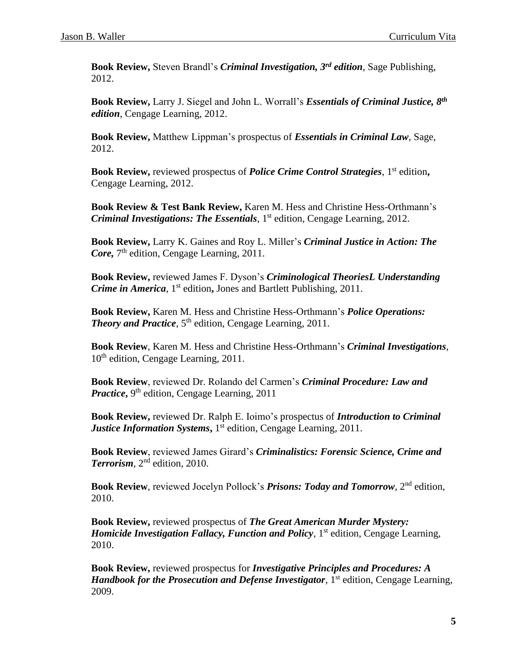**Book Review,** Steven Brandl's *Criminal Investigation, 3rd edition*, Sage Publishing, 2012.

**Book Review,** Larry J. Siegel and John L. Worrall's *Essentials of Criminal Justice, 8th edition*, Cengage Learning, 2012.

**Book Review,** Matthew Lippman's prospectus of *Essentials in Criminal Law*, Sage, 2012.

Book Review, reviewed prospectus of *Police Crime Control Strategies*, 1<sup>st</sup> edition, Cengage Learning, 2012.

**Book Review & Test Bank Review,** Karen M. Hess and Christine Hess-Orthmann's *Criminal Investigations: The Essentials*, 1 st edition, Cengage Learning, 2012.

**Book Review,** Larry K. Gaines and Roy L. Miller's *Criminal Justice in Action: The*  Core, 7<sup>th</sup> edition, Cengage Learning, 2011.

**Book Review,** reviewed James F. Dyson's *Criminological TheoriesL Understanding*  Crime in America, 1<sup>st</sup> edition, Jones and Bartlett Publishing, 2011.

**Book Review,** Karen M. Hess and Christine Hess-Orthmann's *Police Operations:*  **Theory and Practice**, 5<sup>th</sup> edition, Cengage Learning, 2011.

**Book Review**, Karen M. Hess and Christine Hess-Orthmann's *Criminal Investigations*, 10<sup>th</sup> edition, Cengage Learning, 2011.

**Book Review**, reviewed Dr. Rolando del Carmen's *Criminal Procedure: Law and*  Practice, 9<sup>th</sup> edition, Cengage Learning, 2011

**Book Review,** reviewed Dr. Ralph E. Ioimo's prospectus of *Introduction to Criminal Justice Information Systems*, 1<sup>st</sup> edition, Cengage Learning, 2011.

**Book Review**, reviewed James Girard's *Criminalistics: Forensic Science, Crime and*  Terrorism, 2<sup>nd</sup> edition, 2010.

**Book Review**, reviewed Jocelyn Pollock's *Prisons: Today and Tomorrow*, 2<sup>nd</sup> edition, 2010.

**Book Review,** reviewed prospectus of *The Great American Murder Mystery: Homicide Investigation Fallacy, Function and Policy,* 1<sup>st</sup> edition, Cengage Learning, 2010.

**Book Review,** reviewed prospectus for *Investigative Principles and Procedures: A Handbook for the Prosecution and Defense Investigator*, 1<sup>st</sup> edition, Cengage Learning, 2009.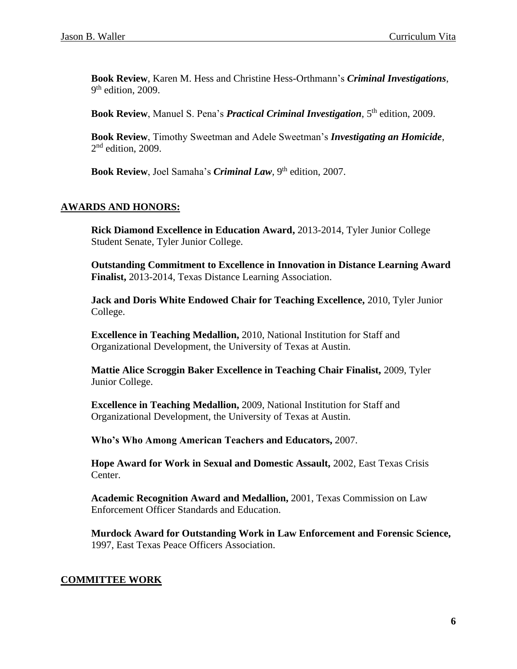**Book Review**, Karen M. Hess and Christine Hess-Orthmann's *Criminal Investigations*, 9<sup>th</sup> edition, 2009.

**Book Review**, Manuel S. Pena's *Practical Criminal Investigation*, 5th edition, 2009.

**Book Review**, Timothy Sweetman and Adele Sweetman's *Investigating an Homicide*,  $2<sup>nd</sup>$  edition, 2009.

Book Review, Joel Samaha's *Criminal Law*, 9<sup>th</sup> edition, 2007.

#### **AWARDS AND HONORS:**

**Rick Diamond Excellence in Education Award,** 2013-2014, Tyler Junior College Student Senate, Tyler Junior College.

**Outstanding Commitment to Excellence in Innovation in Distance Learning Award Finalist,** 2013-2014, Texas Distance Learning Association.

**Jack and Doris White Endowed Chair for Teaching Excellence,** 2010, Tyler Junior College.

**Excellence in Teaching Medallion,** 2010, National Institution for Staff and Organizational Development, the University of Texas at Austin.

**Mattie Alice Scroggin Baker Excellence in Teaching Chair Finalist,** 2009, Tyler Junior College.

**Excellence in Teaching Medallion,** 2009, National Institution for Staff and Organizational Development, the University of Texas at Austin.

**Who's Who Among American Teachers and Educators,** 2007.

**Hope Award for Work in Sexual and Domestic Assault,** 2002, East Texas Crisis Center.

**Academic Recognition Award and Medallion,** 2001, Texas Commission on Law Enforcement Officer Standards and Education.

**Murdock Award for Outstanding Work in Law Enforcement and Forensic Science,** 1997, East Texas Peace Officers Association.

#### **COMMITTEE WORK**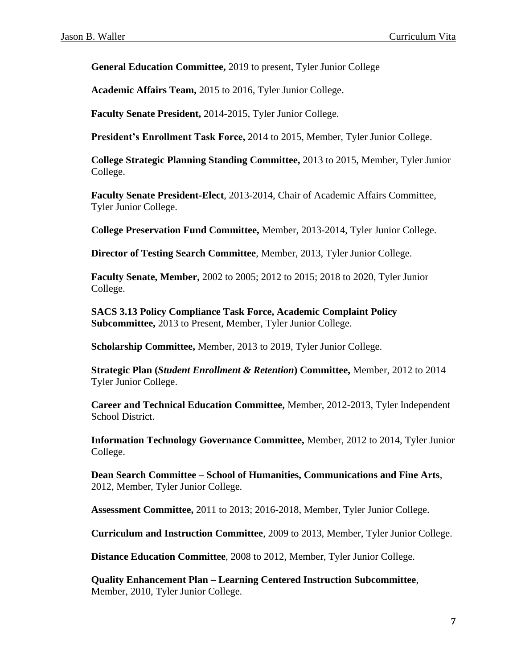**General Education Committee,** 2019 to present, Tyler Junior College

**Academic Affairs Team,** 2015 to 2016, Tyler Junior College.

**Faculty Senate President,** 2014-2015, Tyler Junior College.

**President's Enrollment Task Force,** 2014 to 2015, Member, Tyler Junior College.

**College Strategic Planning Standing Committee,** 2013 to 2015, Member, Tyler Junior College.

**Faculty Senate President-Elect**, 2013-2014, Chair of Academic Affairs Committee, Tyler Junior College.

**College Preservation Fund Committee,** Member, 2013-2014, Tyler Junior College.

**Director of Testing Search Committee**, Member, 2013, Tyler Junior College.

**Faculty Senate, Member,** 2002 to 2005; 2012 to 2015; 2018 to 2020, Tyler Junior College.

**SACS 3.13 Policy Compliance Task Force, Academic Complaint Policy Subcommittee,** 2013 to Present, Member, Tyler Junior College.

**Scholarship Committee,** Member, 2013 to 2019, Tyler Junior College.

**Strategic Plan (***Student Enrollment & Retention***) Committee,** Member, 2012 to 2014 Tyler Junior College.

**Career and Technical Education Committee,** Member, 2012-2013, Tyler Independent School District.

**Information Technology Governance Committee,** Member, 2012 to 2014, Tyler Junior College.

**Dean Search Committee – School of Humanities, Communications and Fine Arts**, 2012, Member, Tyler Junior College.

**Assessment Committee,** 2011 to 2013; 2016-2018, Member, Tyler Junior College.

**Curriculum and Instruction Committee**, 2009 to 2013, Member, Tyler Junior College.

**Distance Education Committee**, 2008 to 2012, Member, Tyler Junior College.

**Quality Enhancement Plan – Learning Centered Instruction Subcommittee**, Member, 2010, Tyler Junior College.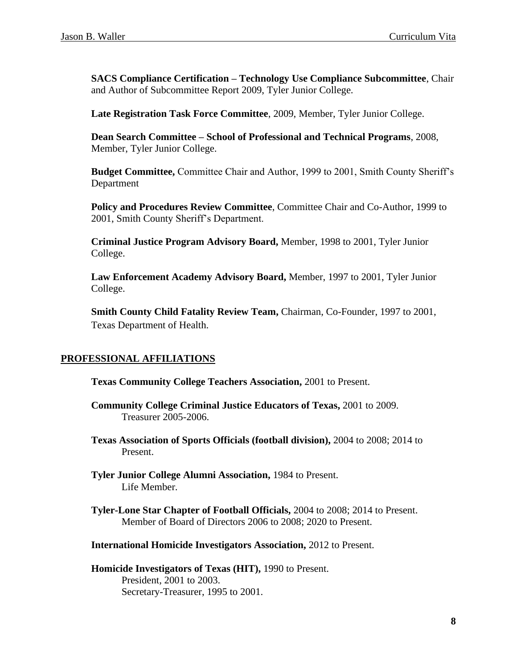**SACS Compliance Certification – Technology Use Compliance Subcommittee**, Chair and Author of Subcommittee Report 2009, Tyler Junior College.

**Late Registration Task Force Committee**, 2009, Member, Tyler Junior College.

**Dean Search Committee – School of Professional and Technical Programs**, 2008, Member, Tyler Junior College.

**Budget Committee,** Committee Chair and Author, 1999 to 2001, Smith County Sheriff's Department

**Policy and Procedures Review Committee**, Committee Chair and Co-Author, 1999 to 2001, Smith County Sheriff's Department.

**Criminal Justice Program Advisory Board,** Member, 1998 to 2001, Tyler Junior College.

**Law Enforcement Academy Advisory Board,** Member, 1997 to 2001, Tyler Junior College.

**Smith County Child Fatality Review Team, Chairman, Co-Founder, 1997 to 2001,** Texas Department of Health.

#### **PROFESSIONAL AFFILIATIONS**

**Texas Community College Teachers Association,** 2001 to Present.

- **Community College Criminal Justice Educators of Texas,** 2001 to 2009. Treasurer 2005-2006.
- **Texas Association of Sports Officials (football division),** 2004 to 2008; 2014 to Present.
- **Tyler Junior College Alumni Association,** 1984 to Present. Life Member.
- **Tyler-Lone Star Chapter of Football Officials,** 2004 to 2008; 2014 to Present. Member of Board of Directors 2006 to 2008; 2020 to Present.

**International Homicide Investigators Association,** 2012 to Present.

**Homicide Investigators of Texas (HIT),** 1990 to Present. President*,* 2001 to 2003. Secretary-Treasurer, 1995 to 2001.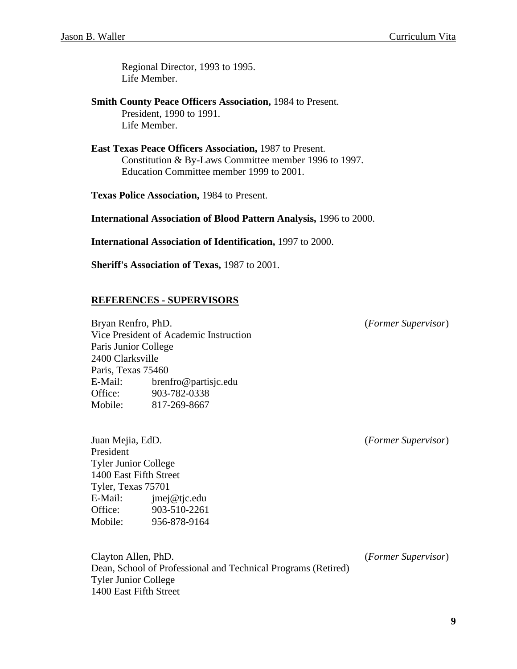Regional Director, 1993 to 1995. Life Member.

**Smith County Peace Officers Association,** 1984 to Present. President, 1990 to 1991. Life Member.

**East Texas Peace Officers Association,** 1987 to Present. Constitution & By-Laws Committee member 1996 to 1997. Education Committee member 1999 to 2001.

**Texas Police Association,** 1984 to Present.

**International Association of Blood Pattern Analysis,** 1996 to 2000.

**International Association of Identification,** 1997 to 2000.

**Sheriff's Association of Texas,** 1987 to 2001.

#### **REFERENCES - SUPERVISORS**

Bryan Renfro, PhD. (*Former Supervisor*) Vice President of Academic Instruction Paris Junior College 2400 Clarksville Paris, Texas 75460 E-Mail: brenfro@partisjc.edu Office: 903-782-0338 Mobile: 817-269-8667

Juan Mejia, EdD. (*Former Supervisor*) President Tyler Junior College 1400 East Fifth Street Tyler, Texas 75701 E-Mail: jmej@tjc.edu Office: 903-510-2261 Mobile: 956-878-9164

Clayton Allen, PhD. (*Former Supervisor*) Dean, School of Professional and Technical Programs (Retired) Tyler Junior College 1400 East Fifth Street